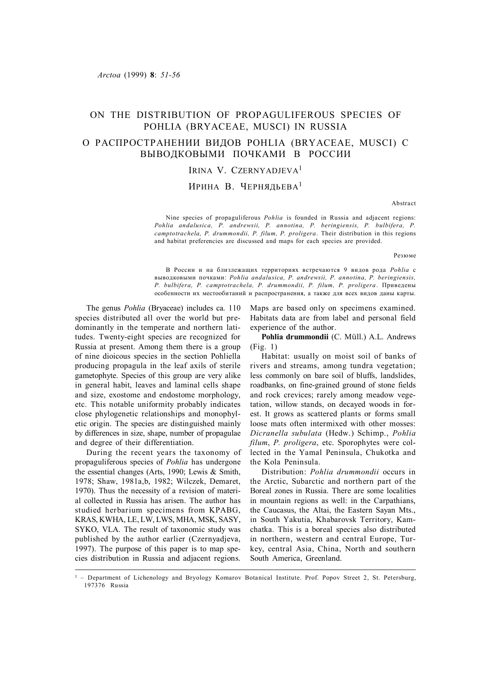# ON THE DISTRIBUTION OF PROPAGULIFEROUS SPECIES OF POHLIA (BRYACEAE, MUSCI) IN RUSSIA

# О РАСПРОСТРАНЕНИИ ВИДОВ POHLIA (BRYACEAE, MUSCI) С ВЫВОДКОВЫМИ ПОЧКАМИ В РОССИИ

# IRINA V. CZERNYADJEVA<sup>1</sup>

## ИРИНА В. ЧЕРНЯЛЬЕВА<sup>1</sup>

Abstract

Nine species of propaguliferous *Pohlia* is founded in Russia and adjacent regions: *Pohlia andalusica, P. andrewsii, P. annotina, P. beringiensis, P. bulbifera, P. camptotrachela, P. drummondii, P. filum, P. proligera*. Their distribution in this regions and habitat preferencies are discussed and maps for each species are provided.

Резюме

В России и на близлежащих территориях встречаются 9 видов рода *Pohlia* с выводковыми почками: *Pohlia andalusica, P. andrewsii, P. annotina, P. beringiensis, P. bulbifera, P. camptotrachela, P. drummondii, P. filum, P. proligera*. Приведены особенности их местообитаний и распространения, а также для всех видов даны карты.

The genus *Pohlia* (Bryaceae) includes ca. 110 species distributed all over the world but predominantly in the temperate and northern latitudes. Twenty-eight species are recognized for Russia at present. Among them there is a group of nine dioicous species in the section Pohliella producing propagula in the leaf axils of sterile gametophyte. Species of this group are very alike in general habit, leaves and laminal cells shape and size, exostome and endostome morphology, etc. This notable uniformity probably indicates close phylogenetic relationships and monophyletic origin. The species are distinguished mainly by differences in size, shape, number of propagulae and degree of their differentiation.

During the recent years the taxonomy of propaguliferous species of *Pohlia* has undergone the essential changes (Arts, 1990; Lewis & Smith, 1978; Shaw, 1981a,b, 1982; Wilczek, Demaret, 1970). Thus the necessity of a revision of material collected in Russia has arisen. The author has studied herbarium specimens from KPABG, KRAS, KWHA, LE, LW, LWS, MHA, MSK, SASY, SYKO, VLA. The result of taxonomic study was published by the author earlier (Czernyadjeva, 1997). The purpose of this paper is to map species distribution in Russia and adjacent regions.

Maps are based only on specimens examined. Habitats data are from label and personal field experience of the author.

**Pohlia drummondii** (C. Müll.) A.L. Andrews (Fig. 1)

Habitat: usually on moist soil of banks of rivers and streams, among tundra vegetation; less commonly on bare soil of bluffs, landslides, roadbanks, on fine-grained ground of stone fields and rock crevices; rarely among meadow vegetation, willow stands, on decayed woods in forest. It grows as scattered plants or forms small loose mats often intermixed with other mosses: *Dicranella subulata* (Hedw.) Schimp., *Pohlia filum*, *P. proligera*, etc. Sporophytes were collected in the Yamal Peninsula, Chukotka and the Kola Peninsula.

Distribution: *Pohlia drummondii* occurs in the Arctic, Subarctic and northern part of the Boreal zones in Russia. There are some localities in mountain regions as well: in the Carpathians, the Caucasus, the Altai, the Eastern Sayan Mts., in South Yakutia, Khabarovsk Territory, Kamchatka. This is a boreal species also distributed in northern, western and central Europe, Turkey, central Asia, China, North and southern South America, Greenland.

<sup>&</sup>lt;sup>1</sup> – Department of Lichenology and Bryology Komarov Botanical Institute. Prof. Popov Street 2, St. Petersburg, 197376 Russia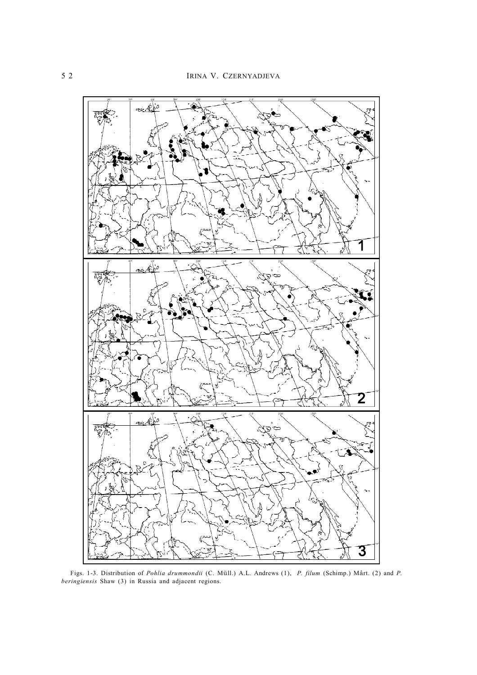

Figs. 1-3. Distribution of *Pohlia drummondii* (C. Müll.) A.L. Andrews (1), *P. filum* (Schimp.) Mårt. (2) and *P. beringiensis* Shaw (3) in Russia and adjacent regions.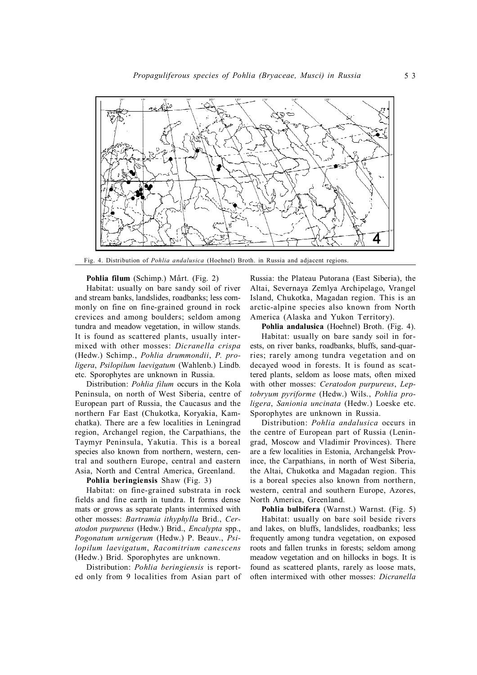

Fig. 4. Distribution of *Pohlia andalusica* (Hoehnel) Broth. in Russia and adjacent regions.

**Pohlia filum** (Schimp.) Mårt. (Fig. 2)

Habitat: usually on bare sandy soil of river and stream banks, landslides, roadbanks; less commonly on fine on fine-grained ground in rock crevices and among boulders; seldom among tundra and meadow vegetation, in willow stands. It is found as scattered plants, usually intermixed with other mosses: *Dicranella crispa* (Hedw.) Schimp., *Pohlia drummondii*, *P. proligera*, *Psilopilum laevigatum* (Wahlenb.) Lindb. etc. Sporophytes are unknown in Russia.

Distribution: *Pohlia filum* occurs in the Kola Peninsula, on north of West Siberia, centre of European part of Russia, the Caucasus and the northern Far East (Chukotka, Koryakia, Kamchatka). There are a few localities in Leningrad region, Archangel region, the Carpathians, the Taymyr Peninsula, Yakutia. This is a boreal species also known from northern, western, central and southern Europe, central and eastern Asia, North and Central America, Greenland.

### **Pohlia beringiensis** Shaw (Fig. 3)

Habitat: on fine-grained substrata in rock fields and fine earth in tundra. It forms dense mats or grows as separate plants intermixed with other mosses: *Bartramia ithyphylla* Brid., *Ceratodon purpureus* (Hedw.) Brid., *Encalypta* spp., *Pogonatum urnigerum* (Hedw.) P. Beauv., *Psilopilum laevigatum*, *Racomitrium canescens* (Hedw.) Brid. Sporophytes are unknown.

Distribution: *Pohlia beringiensis* is reported only from 9 localities from Asian part of Russia: the Plateau Putorana (East Siberia), the Altai, Severnaya Zemlya Archipelago, Vrangel Island, Chukotka, Magadan region. This is an arctic-alpine species also known from North America (Alaska and Yukon Territory).

**Pohlia andalusica** (Hoehnel) Broth. (Fig. 4).

Habitat: usually on bare sandy soil in forests, on river banks, roadbanks, bluffs, sand-quarries; rarely among tundra vegetation and on decayed wood in forests. It is found as scattered plants, seldom as loose mats, often mixed with other mosses: *Ceratodon purpureus*, *Leptobryum pyriforme* (Hedw.) Wils., *Pohlia proligera*, *Sanionia uncinata* (Hedw.) Loeske etc. Sporophytes are unknown in Russia.

Distribution: *Pohlia andalusica* occurs in the centre of European part of Russia (Leningrad, Moscow and Vladimir Provinces). There are a few localities in Estonia, Archangelsk Province, the Carpathians, in north of West Siberia, the Altai, Chukotka and Magadan region. This is a boreal species also known from northern, western, central and southern Europe, Azores, North America, Greenland.

**Pohlia bulbifera** (Warnst.) Warnst. (Fig. 5) Habitat: usually on bare soil beside rivers and lakes, on bluffs, landslides, roadbanks; less frequently among tundra vegetation, on exposed roots and fallen trunks in forests; seldom among meadow vegetation and on hillocks in bogs. It is found as scattered plants, rarely as loose mats, often intermixed with other mosses: *Dicranella*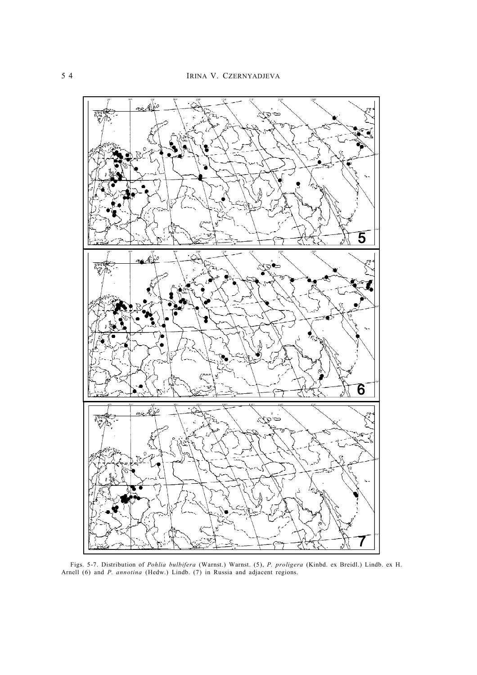

Figs. 5-7. Distribution of *Pohlia bulbifera* (Warnst.) Warnst. (5), *P. proligera* (Kinbd. ex Breidl.) Lindb. ex H. Arnell (6) and *P. annotina* (Hedw.) Lindb. (7) in Russia and adjacent regions.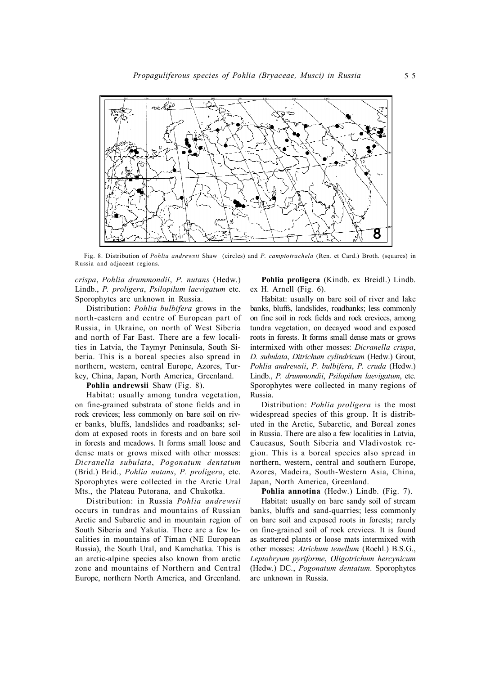

Fig. 8. Distribution of *Pohlia andrewsii* Shaw (circles) and *P. camptotrachela* (Ren. et Card.) Broth. (squares) in Russia and adjacent regions.

*crispa*, *Pohlia drummondii*, *P. nutans* (Hedw.) Lindb., *P. proligera*, *Psilopilum laevigatum* etc. Sporophytes are unknown in Russia.

Distribution: *Pohlia bulbifera* grows in the north-eastern and centre of European part of Russia, in Ukraine, on north of West Siberia and north of Far East. There are a few localities in Latvia, the Taymyr Peninsula, South Siberia. This is a boreal species also spread in northern, western, central Europe, Azores, Turkey, China, Japan, North America, Greenland.

**Pohlia andrewsii** Shaw (Fig. 8).

Habitat: usually among tundra vegetation, on fine-grained substrata of stone fields and in rock crevices; less commonly on bare soil on river banks, bluffs, landslides and roadbanks; seldom at exposed roots in forests and on bare soil in forests and meadows. It forms small loose and dense mats or grows mixed with other mosses: *Dicranella subulata*, *Pogonatum dentatum* (Brid.) Brid., *Pohlia nutans*, *P. proligera*, etc. Sporophytes were collected in the Arctic Ural Mts., the Plateau Putorana, and Chukotka.

Distribution: in Russia *Pohlia andrewsii* occurs in tundras and mountains of Russian Arctic and Subarctic and in mountain region of South Siberia and Yakutia. There are a few localities in mountains of Timan (NE European Russia), the South Ural, and Kamchatka. This is an arctic-alpine species also known from arctic zone and mountains of Northern and Central Europe, northern North America, and Greenland.

**Pohlia proligera** (Kindb. ex Breidl.) Lindb. ex H. Arnell (Fig. 6).

Habitat: usually on bare soil of river and lake banks, bluffs, landslides, roadbanks; less commonly on fine soil in rock fields and rock crevices, among tundra vegetation, on decayed wood and exposed roots in forests. It forms small dense mats or grows intermixed with other mosses: *Dicranella crispa*, *D. subulata*, *Ditrichum cylindricum* (Hedw.) Grout, *Pohlia andrewsii*, *P. bulbifera*, *P. cruda* (Hedw.) Lindb., *P. drummondii*, *Psilopilum laevigatum*, etc. Sporophytes were collected in many regions of Russia.

Distribution: *Pohlia proligera* is the most widespread species of this group. It is distributed in the Arctic, Subarctic, and Boreal zones in Russia. There are also a few localities in Latvia, Caucasus, South Siberia and Vladivostok region. This is a boreal species also spread in northern, western, central and southern Europe, Azores, Madeira, South-Western Asia, China, Japan, North America, Greenland.

**Pohlia annotina** (Hedw.) Lindb. (Fig. 7).

Habitat: usually on bare sandy soil of stream banks, bluffs and sand-quarries; less commonly on bare soil and exposed roots in forests; rarely on fine-grained soil of rock crevices. It is found as scattered plants or loose mats intermixed with other mosses: *Atrichum tenellum* (Roehl.) B.S.G., *Leptobryum pyriforme*, *Oligotrichum hercynicum* (Hedw.) DC., *Pogonatum dentatum*. Sporophytes are unknown in Russia.